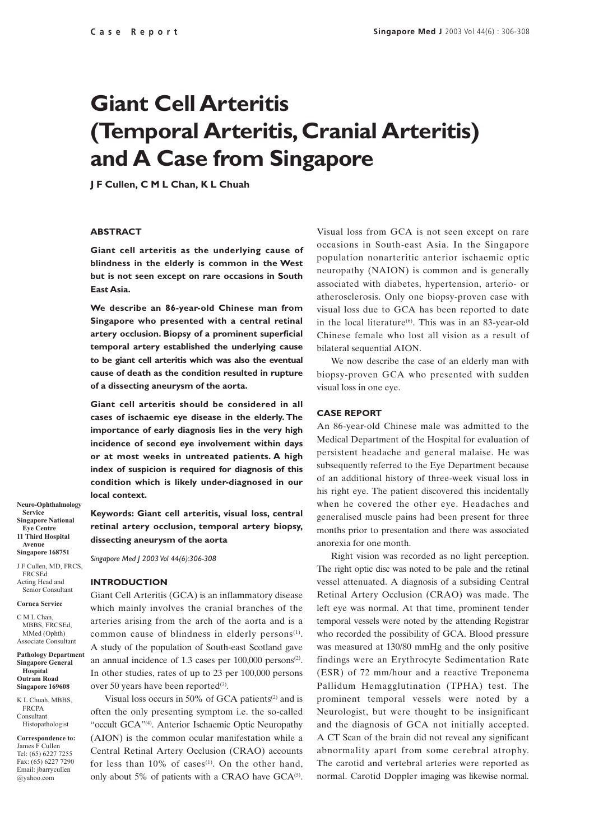# **Giant Cell Arteritis (Temporal Arteritis, Cranial Arteritis) and A Case from Singapore**

**J F Cullen, C M L Chan, K L Chuah**

#### **ABSTRACT**

**Giant cell arteritis as the underlying cause of blindness in the elderly is common in the West but is not seen except on rare occasions in South East Asia.**

**We describe an 86-year-old Chinese man from Singapore who presented with a central retinal artery occlusion. Biopsy of a prominent superficial temporal artery established the underlying cause to be giant cell arteritis which was also the eventual cause of death as the condition resulted in rupture of a dissecting aneurysm of the aorta.**

**Giant cell arteritis should be considered in all cases of ischaemic eye disease in the elderly. The importance of early diagnosis lies in the very high incidence of second eye involvement within days or at most weeks in untreated patients. A high index of suspicion is required for diagnosis of this condition which is likely under-diagnosed in our local context.**

**Keywords: Giant cell arteritis, visual loss, central retinal artery occlusion, temporal artery biopsy, dissecting aneurysm of the aorta**

*Singapore Med J 2003 Vol 44(6):306-308*

#### **INTRODUCTION**

Giant Cell Arteritis (GCA) is an inflammatory disease which mainly involves the cranial branches of the arteries arising from the arch of the aorta and is a common cause of blindness in elderly persons<sup>(1)</sup>. A study of the population of South-east Scotland gave an annual incidence of  $1.3$  cases per  $100,000$  persons<sup>(2)</sup>. In other studies, rates of up to 23 per 100,000 persons over 50 years have been reported<sup>(3)</sup>.

Visual loss occurs in 50% of GCA patients $(2)$  and is often the only presenting symptom i.e. the so-called "occult GCA"(4). Anterior Ischaemic Optic Neuropathy (AION) is the common ocular manifestation while a Central Retinal Artery Occlusion (CRAO) accounts for less than  $10\%$  of cases<sup>(1)</sup>. On the other hand, only about 5% of patients with a CRAO have  $GCA^{(5)}$ .

Visual loss from GCA is not seen except on rare occasions in South-east Asia. In the Singapore population nonarteritic anterior ischaemic optic neuropathy (NAION) is common and is generally associated with diabetes, hypertension, arterio- or atherosclerosis. Only one biopsy-proven case with visual loss due to GCA has been reported to date in the local literature $^{(6)}$ . This was in an 83-year-old Chinese female who lost all vision as a result of bilateral sequential AION.

We now describe the case of an elderly man with biopsy-proven GCA who presented with sudden visual loss in one eye.

### **CASE REPORT**

An 86-year-old Chinese male was admitted to the Medical Department of the Hospital for evaluation of persistent headache and general malaise. He was subsequently referred to the Eye Department because of an additional history of three-week visual loss in his right eye. The patient discovered this incidentally when he covered the other eye. Headaches and generalised muscle pains had been present for three months prior to presentation and there was associated anorexia for one month.

Right vision was recorded as no light perception. The right optic disc was noted to be pale and the retinal vessel attenuated. A diagnosis of a subsiding Central Retinal Artery Occlusion (CRAO) was made. The left eye was normal. At that time, prominent tender temporal vessels were noted by the attending Registrar who recorded the possibility of GCA. Blood pressure was measured at 130/80 mmHg and the only positive findings were an Erythrocyte Sedimentation Rate (ESR) of 72 mm/hour and a reactive Treponema Pallidum Hemagglutination (TPHA) test. The prominent temporal vessels were noted by a Neurologist, but were thought to be insignificant and the diagnosis of GCA not initially accepted. A CT Scan of the brain did not reveal any significant abnormality apart from some cerebral atrophy. The carotid and vertebral arteries were reported as normal. Carotid Doppler imaging was likewise normal.

**Neuro-Ophthalmology Service Singapore National Eye Centre 11 Third Hospital Avenue Singapore 168751**

J F Cullen, MD, FRCS, FRCSEd Acting Head and Senior Consultant

#### **Cornea Service**

C M L Chan, MBBS, FRCSEd, MMed (Ophth) Associate Consultant

**Pathology Department Singapore General Hospital Outram Road Singapore 169608**

K L Chuah, MBBS FRCPA Consultant Histopathologist

**Correspondence to:** James F Cullen Tel: (65) 6227 7255 Fax: (65) 6227 7290 Email: jbarrycullen @yahoo.com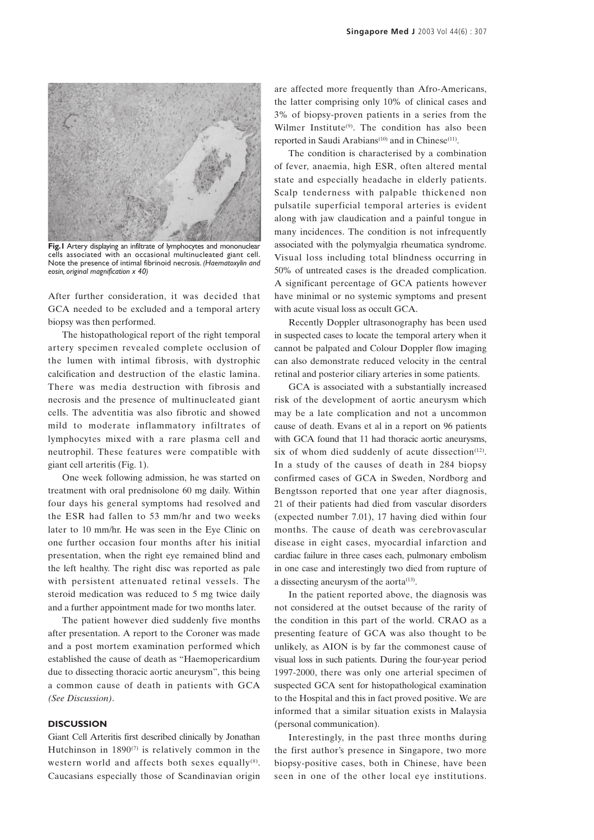

**Fig.1** Artery displaying an infiltrate of lymphocytes and mononuclear cells associated with an occasional multinucleated giant cell. Note the presence of intimal fibrinoid necrosis. *(Haematoxylin and eosin, original magnification x 40)*

After further consideration, it was decided that GCA needed to be excluded and a temporal artery biopsy was then performed.

The histopathological report of the right temporal artery specimen revealed complete occlusion of the lumen with intimal fibrosis, with dystrophic calcification and destruction of the elastic lamina. There was media destruction with fibrosis and necrosis and the presence of multinucleated giant cells. The adventitia was also fibrotic and showed mild to moderate inflammatory infiltrates of lymphocytes mixed with a rare plasma cell and neutrophil. These features were compatible with giant cell arteritis (Fig. 1).

One week following admission, he was started on treatment with oral prednisolone 60 mg daily. Within four days his general symptoms had resolved and the ESR had fallen to 53 mm/hr and two weeks later to 10 mm/hr. He was seen in the Eye Clinic on one further occasion four months after his initial presentation, when the right eye remained blind and the left healthy. The right disc was reported as pale with persistent attenuated retinal vessels. The steroid medication was reduced to 5 mg twice daily and a further appointment made for two months later.

The patient however died suddenly five months after presentation. A report to the Coroner was made and a post mortem examination performed which established the cause of death as "Haemopericardium due to dissecting thoracic aortic aneurysm", this being a common cause of death in patients with GCA *(See Discussion)*.

## **DISCUSSION**

Giant Cell Arteritis first described clinically by Jonathan Hutchinson in  $1890^{(7)}$  is relatively common in the western world and affects both sexes equally<sup>(8)</sup>. Caucasians especially those of Scandinavian origin are affected more frequently than Afro-Americans, the latter comprising only 10% of clinical cases and 3% of biopsy-proven patients in a series from the Wilmer Institute<sup>(9)</sup>. The condition has also been reported in Saudi Arabians<sup>(10)</sup> and in Chinese<sup>(11)</sup>.

The condition is characterised by a combination of fever, anaemia, high ESR, often altered mental state and especially headache in elderly patients. Scalp tenderness with palpable thickened non pulsatile superficial temporal arteries is evident along with jaw claudication and a painful tongue in many incidences. The condition is not infrequently associated with the polymyalgia rheumatica syndrome. Visual loss including total blindness occurring in 50% of untreated cases is the dreaded complication. A significant percentage of GCA patients however have minimal or no systemic symptoms and present with acute visual loss as occult GCA.

Recently Doppler ultrasonography has been used in suspected cases to locate the temporal artery when it cannot be palpated and Colour Doppler flow imaging can also demonstrate reduced velocity in the central retinal and posterior ciliary arteries in some patients.

GCA is associated with a substantially increased risk of the development of aortic aneurysm which may be a late complication and not a uncommon cause of death. Evans et al in a report on 96 patients with GCA found that 11 had thoracic aortic aneurysms, six of whom died suddenly of acute dissection<sup>(12)</sup>. In a study of the causes of death in 284 biopsy confirmed cases of GCA in Sweden, Nordborg and Bengtsson reported that one year after diagnosis, 21 of their patients had died from vascular disorders (expected number 7.01), 17 having died within four months. The cause of death was cerebrovascular disease in eight cases, myocardial infarction and cardiac failure in three cases each, pulmonary embolism in one case and interestingly two died from rupture of a dissecting aneurysm of the aorta<sup>(13)</sup>.

In the patient reported above, the diagnosis was not considered at the outset because of the rarity of the condition in this part of the world. CRAO as a presenting feature of GCA was also thought to be unlikely, as AION is by far the commonest cause of visual loss in such patients. During the four-year period 1997-2000, there was only one arterial specimen of suspected GCA sent for histopathological examination to the Hospital and this in fact proved positive. We are informed that a similar situation exists in Malaysia (personal communication).

Interestingly, in the past three months during the first author's presence in Singapore, two more biopsy-positive cases, both in Chinese, have been seen in one of the other local eye institutions.